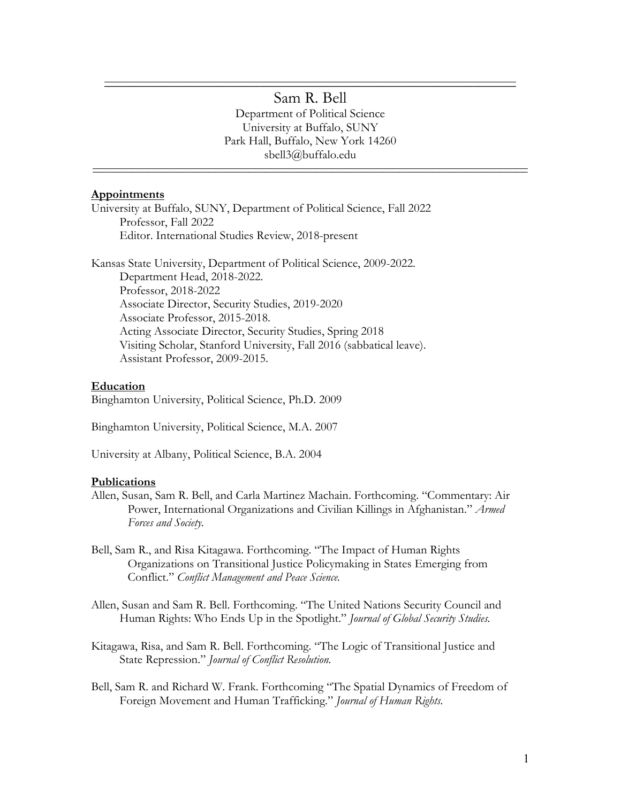# $\mathcal{L}_\text{max}$  and  $\mathcal{L}_\text{max}$  and  $\mathcal{L}_\text{max}$  and  $\mathcal{L}_\text{max}$  and  $\mathcal{L}_\text{max}$  and  $\mathcal{L}_\text{max}$ Sam R. Bell

Department of Political Science University at Buffalo, SUNY Park Hall, Buffalo, New York 14260 sbell3@buffalo.edu

 $\mathcal{L}_\text{max}$  and  $\mathcal{L}_\text{max}$  and  $\mathcal{L}_\text{max}$  and  $\mathcal{L}_\text{max}$  and  $\mathcal{L}_\text{max}$  and  $\mathcal{L}_\text{max}$ 

## **Appointments**

University at Buffalo, SUNY, Department of Political Science, Fall 2022 Professor, Fall 2022 Editor. International Studies Review, 2018-present

Kansas State University, Department of Political Science, 2009-2022. Department Head, 2018-2022. Professor, 2018-2022 Associate Director, Security Studies, 2019-2020 Associate Professor, 2015-2018. Acting Associate Director, Security Studies, Spring 2018 Visiting Scholar, Stanford University, Fall 2016 (sabbatical leave). Assistant Professor, 2009-2015.

### **Education**

Binghamton University, Political Science, Ph.D. 2009

Binghamton University, Political Science, M.A. 2007

University at Albany, Political Science, B.A. 2004

#### **Publications**

- Allen, Susan, Sam R. Bell, and Carla Martinez Machain. Forthcoming. "Commentary: Air Power, International Organizations and Civilian Killings in Afghanistan." *Armed Forces and Society.*
- Bell, Sam R., and Risa Kitagawa. Forthcoming. "The Impact of Human Rights Organizations on Transitional Justice Policymaking in States Emerging from Conflict." *Conflict Management and Peace Science.*
- Allen, Susan and Sam R. Bell. Forthcoming. "The United Nations Security Council and Human Rights: Who Ends Up in the Spotlight." *Journal of Global Security Studies.*
- Kitagawa, Risa, and Sam R. Bell. Forthcoming. "The Logic of Transitional Justice and State Repression." *Journal of Conflict Resolution.*
- Bell, Sam R. and Richard W. Frank. Forthcoming "The Spatial Dynamics of Freedom of Foreign Movement and Human Trafficking." *Journal of Human Rights.*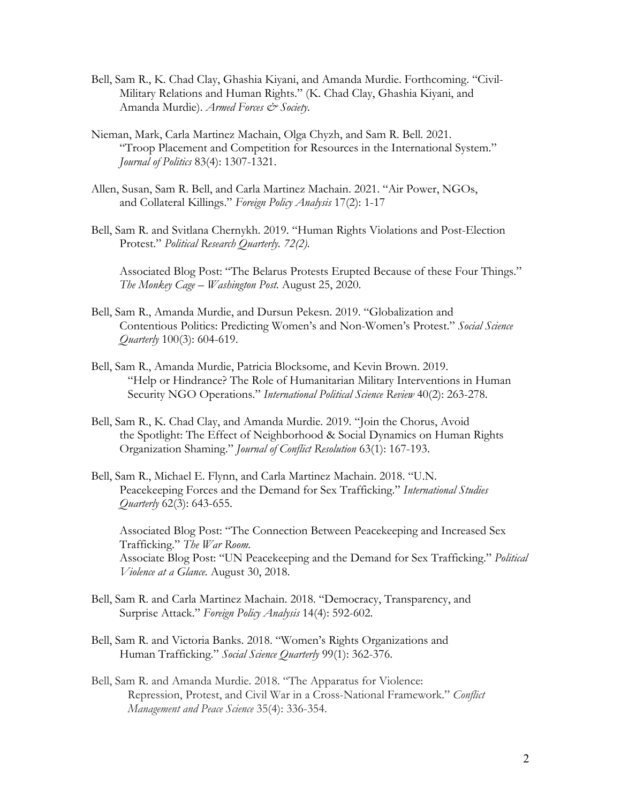- Bell, Sam R., K. Chad Clay, Ghashia Kiyani, and Amanda Murdie. Forthcoming. "Civil-Military Relations and Human Rights." (K. Chad Clay, Ghashia Kiyani, and Amanda Murdie). *Armed Forces & Society.*
- Nieman, Mark, Carla Martinez Machain, Olga Chyzh, and Sam R. Bell. 2021. "Troop Placement and Competition for Resources in the International System." *Journal of Politics* 83(4): 1307-1321.
- Allen, Susan, Sam R. Bell, and Carla Martinez Machain. 2021. "Air Power, NGOs, and Collateral Killings." *Foreign Policy Analysis* 17(2): 1-17
- Bell, Sam R. and Svitlana Chernykh. 2019. "Human Rights Violations and Post-Election Protest." *Political Research Quarterly. 72(2).*

Associated Blog Post: "The Belarus Protests Erupted Because of these Four Things." *The Monkey Cage – Washington Post.* August 25, 2020.

- Bell, Sam R., Amanda Murdie, and Dursun Pekesn. 2019. "Globalization and Contentious Politics: Predicting Women's and Non-Women's Protest." *Social Science Quarterly* 100(3): 604-619.
- Bell, Sam R., Amanda Murdie, Patricia Blocksome, and Kevin Brown. 2019. "Help or Hindrance? The Role of Humanitarian Military Interventions in Human Security NGO Operations." *International Political Science Review* 40(2): 263-278.
- Bell, Sam R., K. Chad Clay, and Amanda Murdie. 2019. "Join the Chorus, Avoid the Spotlight: The Effect of Neighborhood & Social Dynamics on Human Rights Organization Shaming." *Journal of Conflict Resolution* 63(1): 167-193.
- Bell, Sam R., Michael E. Flynn, and Carla Martinez Machain. 2018. "U.N. Peacekeeping Forces and the Demand for Sex Trafficking." *International Studies Quarterly* 62(3): 643-655.

Associated Blog Post: "The Connection Between Peacekeeping and Increased Sex Trafficking." *The War Room.*  Associate Blog Post: "UN Peacekeeping and the Demand for Sex Trafficking." *Political Violence at a Glance.* August 30, 2018.

- Bell, Sam R. and Carla Martinez Machain. 2018. "Democracy, Transparency, and Surprise Attack." *Foreign Policy Analysis* 14(4): 592-602.
- Bell, Sam R. and Victoria Banks. 2018. "Women's Rights Organizations and Human Trafficking." *Social Science Quarterly* 99(1): 362-376.
- Bell, Sam R. and Amanda Murdie. 2018. "The Apparatus for Violence: Repression, Protest, and Civil War in a Cross-National Framework." *Conflict Management and Peace Science* 35(4): 336-354.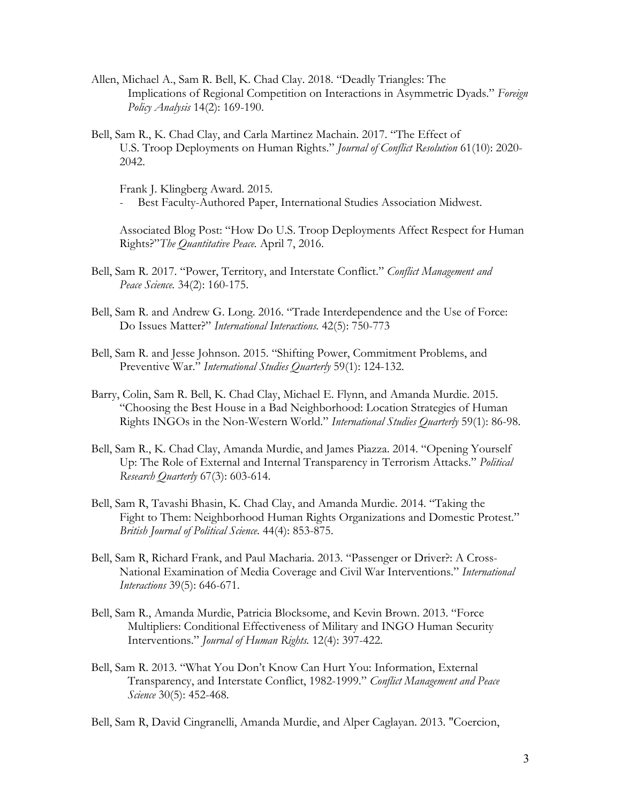- Allen, Michael A., Sam R. Bell, K. Chad Clay. 2018. "Deadly Triangles: The Implications of Regional Competition on Interactions in Asymmetric Dyads." *Foreign Policy Analysis* 14(2): 169-190.
- Bell, Sam R., K. Chad Clay, and Carla Martinez Machain. 2017. "The Effect of U.S. Troop Deployments on Human Rights." *Journal of Conflict Resolution* 61(10): 2020- 2042.

Frank J. Klingberg Award. 2015.

Best Faculty-Authored Paper, International Studies Association Midwest.

Associated Blog Post: "How Do U.S. Troop Deployments Affect Respect for Human Rights?"*The Quantitative Peace.* April 7, 2016.

- Bell, Sam R. 2017. "Power, Territory, and Interstate Conflict." *Conflict Management and Peace Science.* 34(2): 160-175.
- Bell, Sam R. and Andrew G. Long. 2016. "Trade Interdependence and the Use of Force: Do Issues Matter?" *International Interactions.* 42(5): 750-773
- Bell, Sam R. and Jesse Johnson. 2015. "Shifting Power, Commitment Problems, and Preventive War." *International Studies Quarterly* 59(1): 124-132.
- Barry, Colin, Sam R. Bell, K. Chad Clay, Michael E. Flynn, and Amanda Murdie. 2015. "Choosing the Best House in a Bad Neighborhood: Location Strategies of Human Rights INGOs in the Non-Western World." *International Studies Quarterly* 59(1): 86-98.
- Bell, Sam R., K. Chad Clay, Amanda Murdie, and James Piazza. 2014. "Opening Yourself Up: The Role of External and Internal Transparency in Terrorism Attacks." *Political Research Quarterly* 67(3): 603-614.
- Bell, Sam R, Tavashi Bhasin, K. Chad Clay, and Amanda Murdie. 2014. "Taking the Fight to Them: Neighborhood Human Rights Organizations and Domestic Protest." *British Journal of Political Science.* 44(4): 853-875.
- Bell, Sam R, Richard Frank, and Paul Macharia. 2013. "Passenger or Driver?: A Cross-National Examination of Media Coverage and Civil War Interventions." *International Interactions* 39(5): 646-671.
- Bell, Sam R., Amanda Murdie, Patricia Blocksome, and Kevin Brown. 2013. "Force Multipliers: Conditional Effectiveness of Military and INGO Human Security Interventions." *Journal of Human Rights.* 12(4): 397-422.
- Bell, Sam R. 2013. "What You Don't Know Can Hurt You: Information, External Transparency, and Interstate Conflict, 1982-1999." *Conflict Management and Peace Science* 30(5): 452-468*.*

Bell, Sam R, David Cingranelli, Amanda Murdie, and Alper Caglayan. 2013. "Coercion,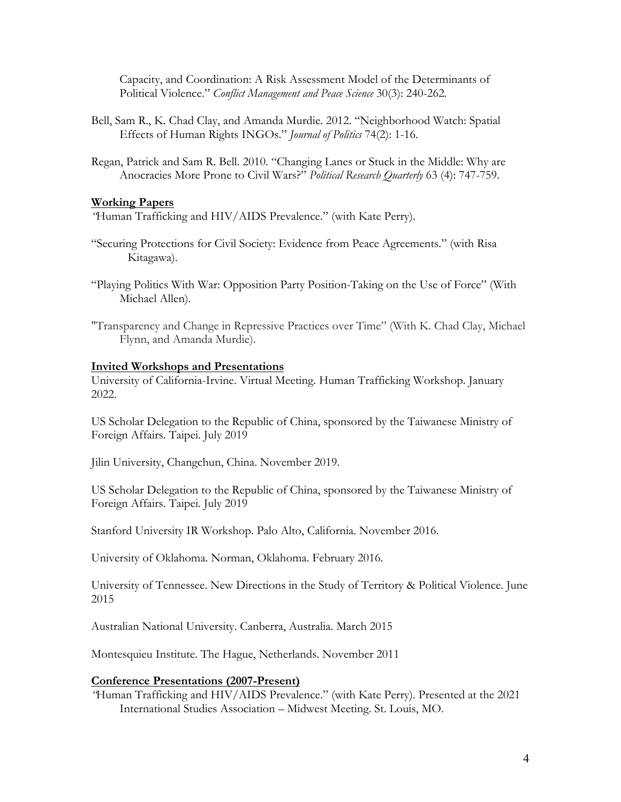Capacity, and Coordination: A Risk Assessment Model of the Determinants of Political Violence." *Conflict Management and Peace Science* 30(3): 240-262*.* 

- Bell, Sam R., K. Chad Clay, and Amanda Murdie. 2012. "Neighborhood Watch: Spatial Effects of Human Rights INGOs." *Journal of Politics* 74(2): 1-16.
- Regan, Patrick and Sam R. Bell. 2010. "Changing Lanes or Stuck in the Middle: Why are Anocracies More Prone to Civil Wars?" *Political Research Quarterly* 63 (4): 747-759.

### **Working Papers**

*"*Human Trafficking and HIV/AIDS Prevalence." (with Kate Perry).

- "Securing Protections for Civil Society: Evidence from Peace Agreements." (with Risa Kitagawa).
- "Playing Politics With War: Opposition Party Position-Taking on the Use of Force" (With Michael Allen).
- "Transparency and Change in Repressive Practices over Time" (With K. Chad Clay, Michael Flynn, and Amanda Murdie).

### **Invited Workshops and Presentations**

University of California-Irvine. Virtual Meeting. Human Trafficking Workshop. January 2022.

US Scholar Delegation to the Republic of China, sponsored by the Taiwanese Ministry of Foreign Affairs. Taipei. July 2019

Jilin University, Changchun, China. November 2019.

US Scholar Delegation to the Republic of China, sponsored by the Taiwanese Ministry of Foreign Affairs. Taipei. July 2019

Stanford University IR Workshop. Palo Alto, California. November 2016.

University of Oklahoma. Norman, Oklahoma. February 2016.

University of Tennessee. New Directions in the Study of Territory & Political Violence. June 2015

Australian National University. Canberra, Australia. March 2015

Montesquieu Institute. The Hague, Netherlands. November 2011

### **Conference Presentations (2007-Present)**

*"*Human Trafficking and HIV/AIDS Prevalence." (with Kate Perry). Presented at the 2021 International Studies Association – Midwest Meeting. St. Louis, MO.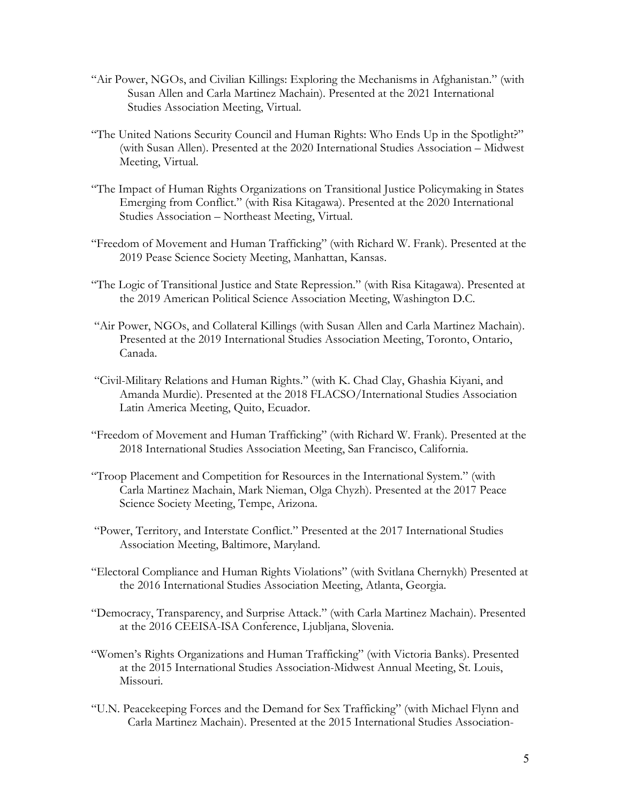- "Air Power, NGOs, and Civilian Killings: Exploring the Mechanisms in Afghanistan." (with Susan Allen and Carla Martinez Machain). Presented at the 2021 International Studies Association Meeting, Virtual.
- "The United Nations Security Council and Human Rights: Who Ends Up in the Spotlight?" (with Susan Allen). Presented at the 2020 International Studies Association – Midwest Meeting, Virtual.
- "The Impact of Human Rights Organizations on Transitional Justice Policymaking in States Emerging from Conflict." (with Risa Kitagawa). Presented at the 2020 International Studies Association – Northeast Meeting, Virtual.
- "Freedom of Movement and Human Trafficking" (with Richard W. Frank). Presented at the 2019 Pease Science Society Meeting, Manhattan, Kansas.
- "The Logic of Transitional Justice and State Repression." (with Risa Kitagawa). Presented at the 2019 American Political Science Association Meeting, Washington D.C.
- "Air Power, NGOs, and Collateral Killings (with Susan Allen and Carla Martinez Machain). Presented at the 2019 International Studies Association Meeting, Toronto, Ontario, Canada.
- "Civil-Military Relations and Human Rights." (with K. Chad Clay, Ghashia Kiyani, and Amanda Murdie). Presented at the 2018 FLACSO/International Studies Association Latin America Meeting, Quito, Ecuador.
- "Freedom of Movement and Human Trafficking" (with Richard W. Frank). Presented at the 2018 International Studies Association Meeting, San Francisco, California.
- "Troop Placement and Competition for Resources in the International System." (with Carla Martinez Machain, Mark Nieman, Olga Chyzh). Presented at the 2017 Peace Science Society Meeting, Tempe, Arizona.
- "Power, Territory, and Interstate Conflict." Presented at the 2017 International Studies Association Meeting, Baltimore, Maryland.
- "Electoral Compliance and Human Rights Violations" (with Svitlana Chernykh) Presented at the 2016 International Studies Association Meeting, Atlanta, Georgia.
- "Democracy, Transparency, and Surprise Attack." (with Carla Martinez Machain). Presented at the 2016 CEEISA-ISA Conference, Ljubljana, Slovenia.
- "Women's Rights Organizations and Human Trafficking" (with Victoria Banks). Presented at the 2015 International Studies Association-Midwest Annual Meeting, St. Louis, Missouri.
- "U.N. Peacekeeping Forces and the Demand for Sex Trafficking" (with Michael Flynn and Carla Martinez Machain). Presented at the 2015 International Studies Association-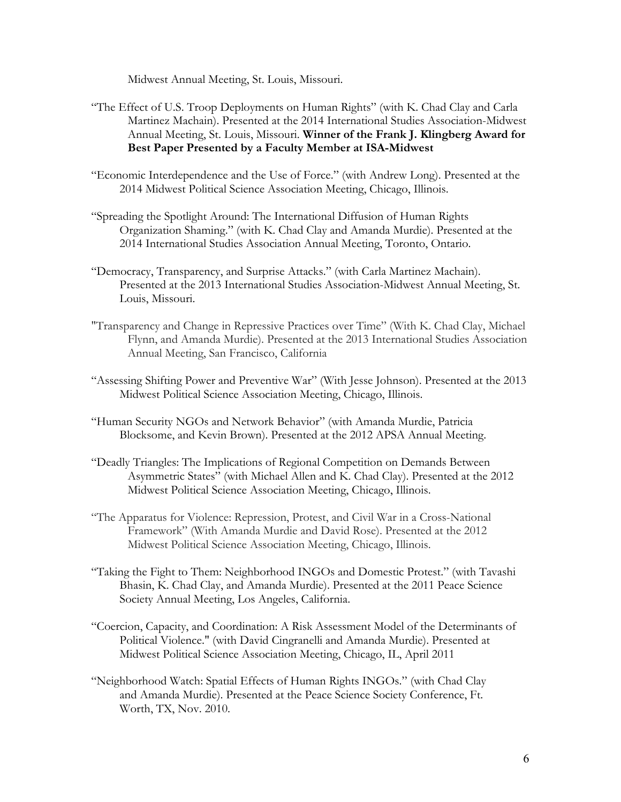Midwest Annual Meeting, St. Louis, Missouri.

- "The Effect of U.S. Troop Deployments on Human Rights" (with K. Chad Clay and Carla Martinez Machain). Presented at the 2014 International Studies Association-Midwest Annual Meeting, St. Louis, Missouri. **Winner of the Frank J. Klingberg Award for Best Paper Presented by a Faculty Member at ISA-Midwest**
- "Economic Interdependence and the Use of Force." (with Andrew Long). Presented at the 2014 Midwest Political Science Association Meeting, Chicago, Illinois.
- "Spreading the Spotlight Around: The International Diffusion of Human Rights Organization Shaming." (with K. Chad Clay and Amanda Murdie). Presented at the 2014 International Studies Association Annual Meeting, Toronto, Ontario.
- "Democracy, Transparency, and Surprise Attacks." (with Carla Martinez Machain). Presented at the 2013 International Studies Association-Midwest Annual Meeting, St. Louis, Missouri.
- "Transparency and Change in Repressive Practices over Time" (With K. Chad Clay, Michael Flynn, and Amanda Murdie). Presented at the 2013 International Studies Association Annual Meeting, San Francisco, California
- "Assessing Shifting Power and Preventive War" (With Jesse Johnson). Presented at the 2013 Midwest Political Science Association Meeting, Chicago, Illinois.
- "Human Security NGOs and Network Behavior" (with Amanda Murdie, Patricia Blocksome, and Kevin Brown). Presented at the 2012 APSA Annual Meeting.
- "Deadly Triangles: The Implications of Regional Competition on Demands Between Asymmetric States" (with Michael Allen and K. Chad Clay). Presented at the 2012 Midwest Political Science Association Meeting, Chicago, Illinois.
- "The Apparatus for Violence: Repression, Protest, and Civil War in a Cross-National Framework" (With Amanda Murdie and David Rose). Presented at the 2012 Midwest Political Science Association Meeting, Chicago, Illinois.
- "Taking the Fight to Them: Neighborhood INGOs and Domestic Protest." (with Tavashi Bhasin, K. Chad Clay, and Amanda Murdie). Presented at the 2011 Peace Science Society Annual Meeting, Los Angeles, California.
- "Coercion, Capacity, and Coordination: A Risk Assessment Model of the Determinants of Political Violence." (with David Cingranelli and Amanda Murdie). Presented at Midwest Political Science Association Meeting, Chicago, IL, April 2011
- "Neighborhood Watch: Spatial Effects of Human Rights INGOs." (with Chad Clay and Amanda Murdie). Presented at the Peace Science Society Conference, Ft. Worth, TX, Nov. 2010.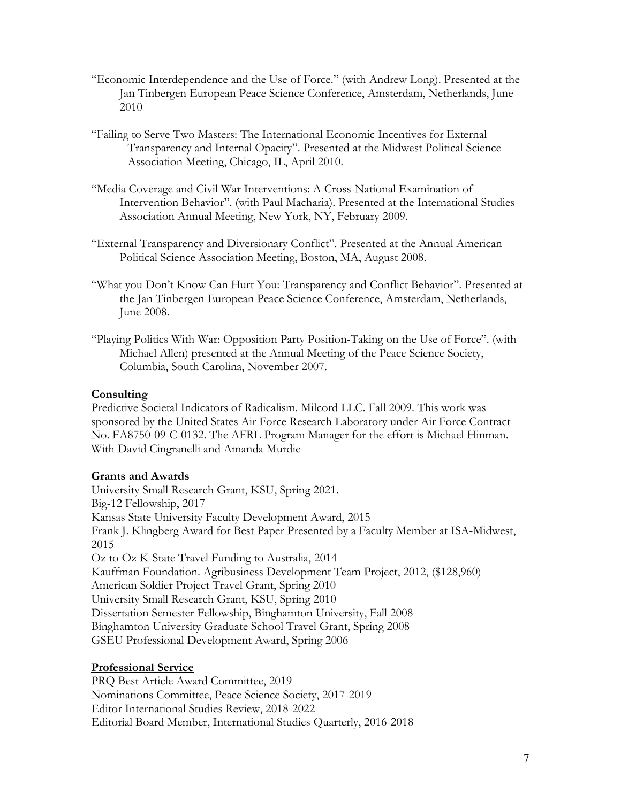- "Economic Interdependence and the Use of Force." (with Andrew Long). Presented at the Jan Tinbergen European Peace Science Conference, Amsterdam, Netherlands, June 2010
- "Failing to Serve Two Masters: The International Economic Incentives for External Transparency and Internal Opacity". Presented at the Midwest Political Science Association Meeting, Chicago, IL, April 2010.
- "Media Coverage and Civil War Interventions: A Cross-National Examination of Intervention Behavior". (with Paul Macharia). Presented at the International Studies Association Annual Meeting, New York, NY, February 2009.
- "External Transparency and Diversionary Conflict". Presented at the Annual American Political Science Association Meeting, Boston, MA, August 2008.
- "What you Don't Know Can Hurt You: Transparency and Conflict Behavior". Presented at the Jan Tinbergen European Peace Science Conference, Amsterdam, Netherlands, June 2008.
- "Playing Politics With War: Opposition Party Position-Taking on the Use of Force". (with Michael Allen) presented at the Annual Meeting of the Peace Science Society, Columbia, South Carolina, November 2007.

# **Consulting**

Predictive Societal Indicators of Radicalism. Milcord LLC. Fall 2009. This work was sponsored by the United States Air Force Research Laboratory under Air Force Contract No. FA8750-09-C-0132. The AFRL Program Manager for the effort is Michael Hinman. With David Cingranelli and Amanda Murdie

### **Grants and Awards**

University Small Research Grant, KSU, Spring 2021. Big-12 Fellowship, 2017 Kansas State University Faculty Development Award, 2015 Frank J. Klingberg Award for Best Paper Presented by a Faculty Member at ISA-Midwest, 2015 Oz to Oz K-State Travel Funding to Australia, 2014 Kauffman Foundation. Agribusiness Development Team Project, 2012, (\$128,960) American Soldier Project Travel Grant, Spring 2010 University Small Research Grant, KSU, Spring 2010 Dissertation Semester Fellowship, Binghamton University, Fall 2008 Binghamton University Graduate School Travel Grant, Spring 2008 GSEU Professional Development Award, Spring 2006

### **Professional Service**

PRQ Best Article Award Committee, 2019 Nominations Committee, Peace Science Society, 2017-2019 Editor International Studies Review, 2018-2022 Editorial Board Member, International Studies Quarterly, 2016-2018